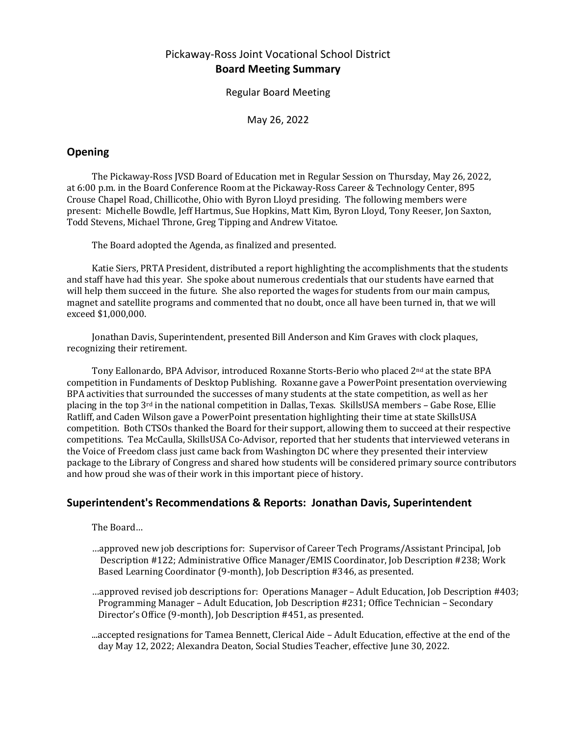# Pickaway-Ross Joint Vocational School District **Board Meeting Summary**

Regular Board Meeting

May 26, 2022

## **Opening**

The Pickaway-Ross JVSD Board of Education met in Regular Session on Thursday, May 26, 2022, at 6:00 p.m. in the Board Conference Room at the Pickaway-Ross Career & Technology Center, 895 Crouse Chapel Road, Chillicothe, Ohio with Byron Lloyd presiding. The following members were present: Michelle Bowdle, Jeff Hartmus, Sue Hopkins, Matt Kim, Byron Lloyd, Tony Reeser, Jon Saxton, Todd Stevens, Michael Throne, Greg Tipping and Andrew Vitatoe.

The Board adopted the Agenda, as finalized and presented.

Katie Siers, PRTA President, distributed a report highlighting the accomplishments that the students and staff have had this year. She spoke about numerous credentials that our students have earned that will help them succeed in the future. She also reported the wages for students from our main campus, magnet and satellite programs and commented that no doubt, once all have been turned in, that we will exceed \$1,000,000.

Jonathan Davis, Superintendent, presented Bill Anderson and Kim Graves with clock plaques, recognizing their retirement.

Tony Eallonardo, BPA Advisor, introduced Roxanne Storts-Berio who placed 2nd at the state BPA competition in Fundaments of Desktop Publishing. Roxanne gave a PowerPoint presentation overviewing BPA activities that surrounded the successes of many students at the state competition, as well as her placing in the top  $3<sup>rd</sup>$  in the national competition in Dallas, Texas. SkillsUSA members – Gabe Rose, Ellie Ratliff, and Caden Wilson gave a PowerPoint presentation highlighting their time at state SkillsUSA competition. Both CTSOs thanked the Board for their support, allowing them to succeed at their respective competitions. Tea McCaulla, SkillsUSA Co-Advisor, reported that her students that interviewed veterans in the Voice of Freedom class just came back from Washington DC where they presented their interview package to the Library of Congress and shared how students will be considered primary source contributors and how proud she was of their work in this important piece of history.

## **Superintendent's Recommendations & Reports: Jonathan Davis, Superintendent**

The Board…

- …approved new job descriptions for: Supervisor of Career Tech Programs/Assistant Principal, Job Description #122; Administrative Office Manager/EMIS Coordinator, Job Description #238; Work Based Learning Coordinator (9-month), Job Description #346, as presented.
- …approved revised job descriptions for: Operations Manager Adult Education, Job Description #403; Programming Manager – Adult Education, Job Description #231; Office Technician – Secondary Director's Office (9-month), Job Description #451, as presented.
- ...accepted resignations for Tamea Bennett, Clerical Aide Adult Education, effective at the end of the day May 12, 2022; Alexandra Deaton, Social Studies Teacher, effective June 30, 2022.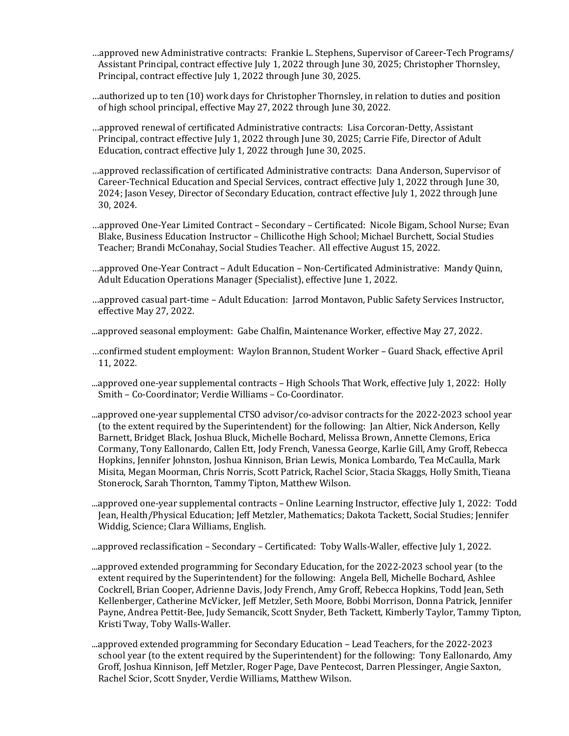- …approved new Administrative contracts: Frankie L. Stephens, Supervisor of Career-Tech Programs/ Assistant Principal, contract effective July 1, 2022 through June 30, 2025; Christopher Thornsley, Principal, contract effective July 1, 2022 through June 30, 2025.
- …authorized up to ten (10) work days for Christopher Thornsley, in relation to duties and position of high school principal, effective May 27, 2022 through June 30, 2022.
- …approved renewal of certificated Administrative contracts: Lisa Corcoran-Detty, Assistant Principal, contract effective July 1, 2022 through June 30, 2025; Carrie Fife, Director of Adult Education, contract effective July 1, 2022 through June 30, 2025.
- …approved reclassification of certificated Administrative contracts: Dana Anderson, Supervisor of Career-Technical Education and Special Services, contract effective July 1, 2022 through June 30, 2024; Jason Vesey, Director of Secondary Education, contract effective July 1, 2022 through June 30, 2024.
- …approved One-Year Limited Contract Secondary Certificated: Nicole Bigam, School Nurse; Evan Blake, Business Education Instructor – Chillicothe High School; Michael Burchett, Social Studies Teacher; Brandi McConahay, Social Studies Teacher. All effective August 15, 2022.
- …approved One-Year Contract Adult Education Non-Certificated Administrative: Mandy Quinn, Adult Education Operations Manager (Specialist), effective June 1, 2022.
- …approved casual part-time Adult Education: Jarrod Montavon, Public Safety Services Instructor, effective May 27, 2022.
- ...approved seasonal employment: Gabe Chalfin, Maintenance Worker, effective May 27, 2022.
- …confirmed student employment: Waylon Brannon, Student Worker Guard Shack, effective April 11, 2022.
- ...approved one-year supplemental contracts High Schools That Work, effective July 1, 2022: Holly Smith – Co-Coordinator; Verdie Williams – Co-Coordinator.
- ...approved one-year supplemental CTSO advisor/co-advisor contracts for the 2022-2023 school year (to the extent required by the Superintendent) for the following: Jan Altier, Nick Anderson, Kelly Barnett, Bridget Black, Joshua Bluck, Michelle Bochard, Melissa Brown, Annette Clemons, Erica Cormany, Tony Eallonardo, Callen Ett, Jody French, Vanessa George, Karlie Gill, Amy Groff, Rebecca Hopkins, Jennifer Johnston, Joshua Kinnison, Brian Lewis, Monica Lombardo, Tea McCaulla, Mark Misita, Megan Moorman, Chris Norris, Scott Patrick, Rachel Scior, Stacia Skaggs, Holly Smith, Tieana Stonerock, Sarah Thornton, Tammy Tipton, Matthew Wilson.
- ...approved one-year supplemental contracts Online Learning Instructor, effective July 1, 2022: Todd Jean, Health/Physical Education; Jeff Metzler, Mathematics; Dakota Tackett, Social Studies; Jennifer Widdig, Science; Clara Williams, English.
- ...approved reclassification Secondary Certificated: Toby Walls-Waller, effective July 1, 2022.
- ...approved extended programming for Secondary Education, for the 2022-2023 school year (to the extent required by the Superintendent) for the following: Angela Bell, Michelle Bochard, Ashlee Cockrell, Brian Cooper, Adrienne Davis, Jody French, Amy Groff, Rebecca Hopkins, Todd Jean, Seth Kellenberger, Catherine McVicker, Jeff Metzler, Seth Moore, Bobbi Morrison, Donna Patrick, Jennifer Payne, Andrea Pettit-Bee, Judy Semancik, Scott Snyder, Beth Tackett, Kimberly Taylor, Tammy Tipton, Kristi Tway, Toby Walls-Waller.
- ...approved extended programming for Secondary Education Lead Teachers, for the 2022-2023 school year (to the extent required by the Superintendent) for the following: Tony Eallonardo, Amy Groff, Joshua Kinnison, Jeff Metzler, Roger Page, Dave Pentecost, Darren Plessinger, Angie Saxton, Rachel Scior, Scott Snyder, Verdie Williams, Matthew Wilson.